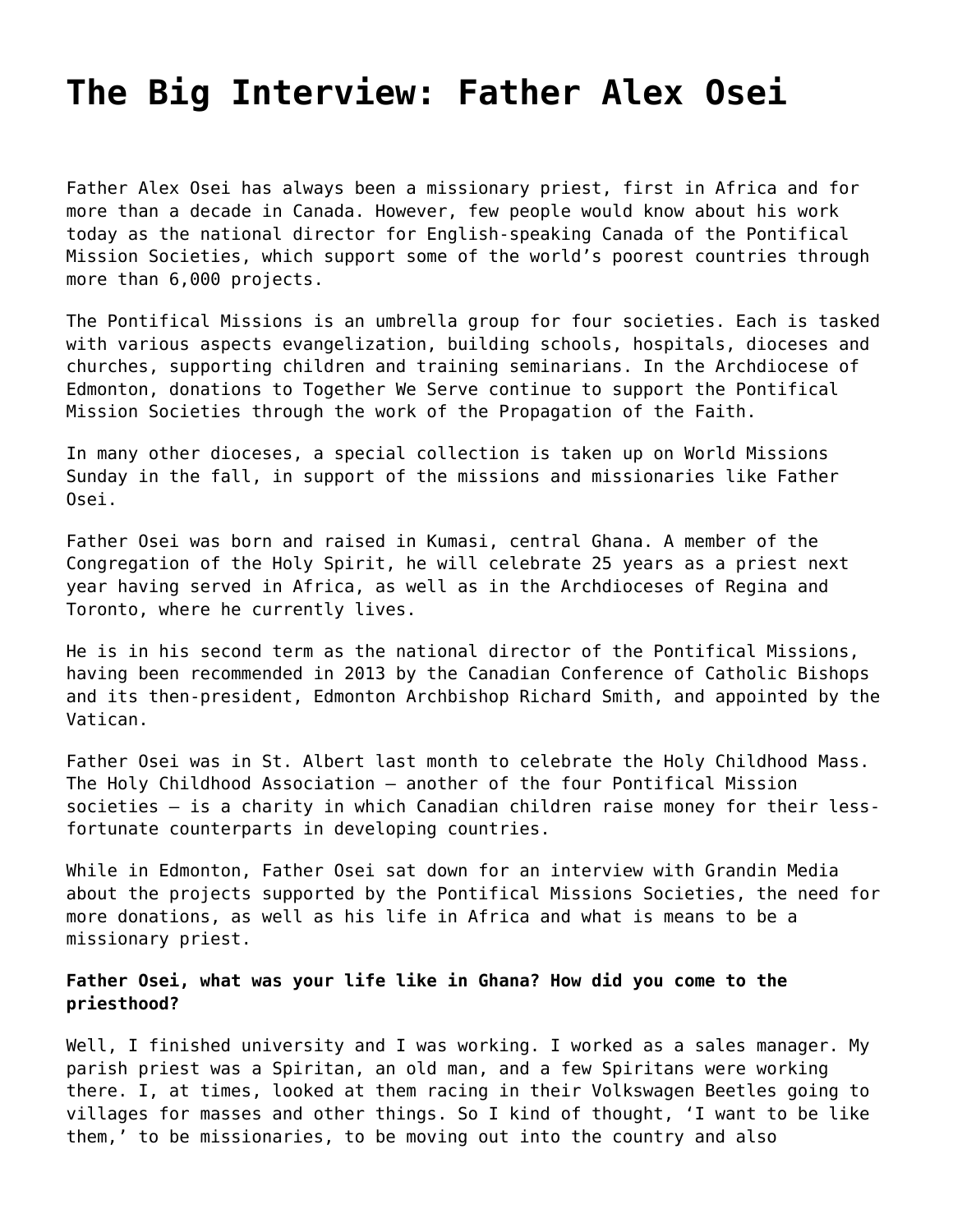# **[The Big Interview: Father Alex Osei](https://grandinmedia.ca/big-interview-father-alex-osei/)**

Father Alex Osei has always been a missionary priest, first in Africa and for more than a decade in Canada. However, few people would know about his work today as the national director for English-speaking Canada of the [Pontifical](http://www.missionsocieties.ca/) [Mission Societies](http://www.missionsocieties.ca/), which support some of the world's poorest countries through more than 6,000 projects.

The Pontifical Missions is an umbrella group for four societies. Each is tasked with various aspects evangelization, building schools, hospitals, dioceses and churches, supporting children and training seminarians. In the Archdiocese of Edmonton, donations to [Together We Serve](https://www.caedm.ca/TogetherWeServe) continue to support the Pontifical Mission Societies through the work of the Propagation of the Faith.

In many other dioceses, a special collection is taken up on World Missions Sunday in the fall, in support of the missions and missionaries like Father Osei.

Father Osei was born and raised in Kumasi, central Ghana. A member of the Congregation of the Holy Spirit, he will celebrate 25 years as a priest next year having served in Africa, as well as in the Archdioceses of Regina and Toronto, where he currently lives.

He is in his second term as the national director of the Pontifical Missions, having been recommended in 2013 by the Canadian Conference of Catholic Bishops and its then-president, Edmonton Archbishop Richard Smith, and appointed by the Vatican.

Father Osei was in St. Albert last month to celebrate the Holy Childhood Mass. The Holy Childhood Association – another of the four Pontifical Mission societies – is a charity in which Canadian children raise money for their lessfortunate counterparts in developing countries.

While in Edmonton, Father Osei sat down for an interview with Grandin Media about the projects supported by the Pontifical Missions Societies, the need for more donations, as well as his life in Africa and what is means to be a missionary priest.

## **Father Osei, what was your life like in Ghana? How did you come to the priesthood?**

Well, I finished university and I was working. I worked as a sales manager. My parish priest was a Spiritan, an old man, and a few Spiritans were working there. I, at times, looked at them racing in their Volkswagen Beetles going to villages for masses and other things. So I kind of thought, 'I want to be like them,' to be missionaries, to be moving out into the country and also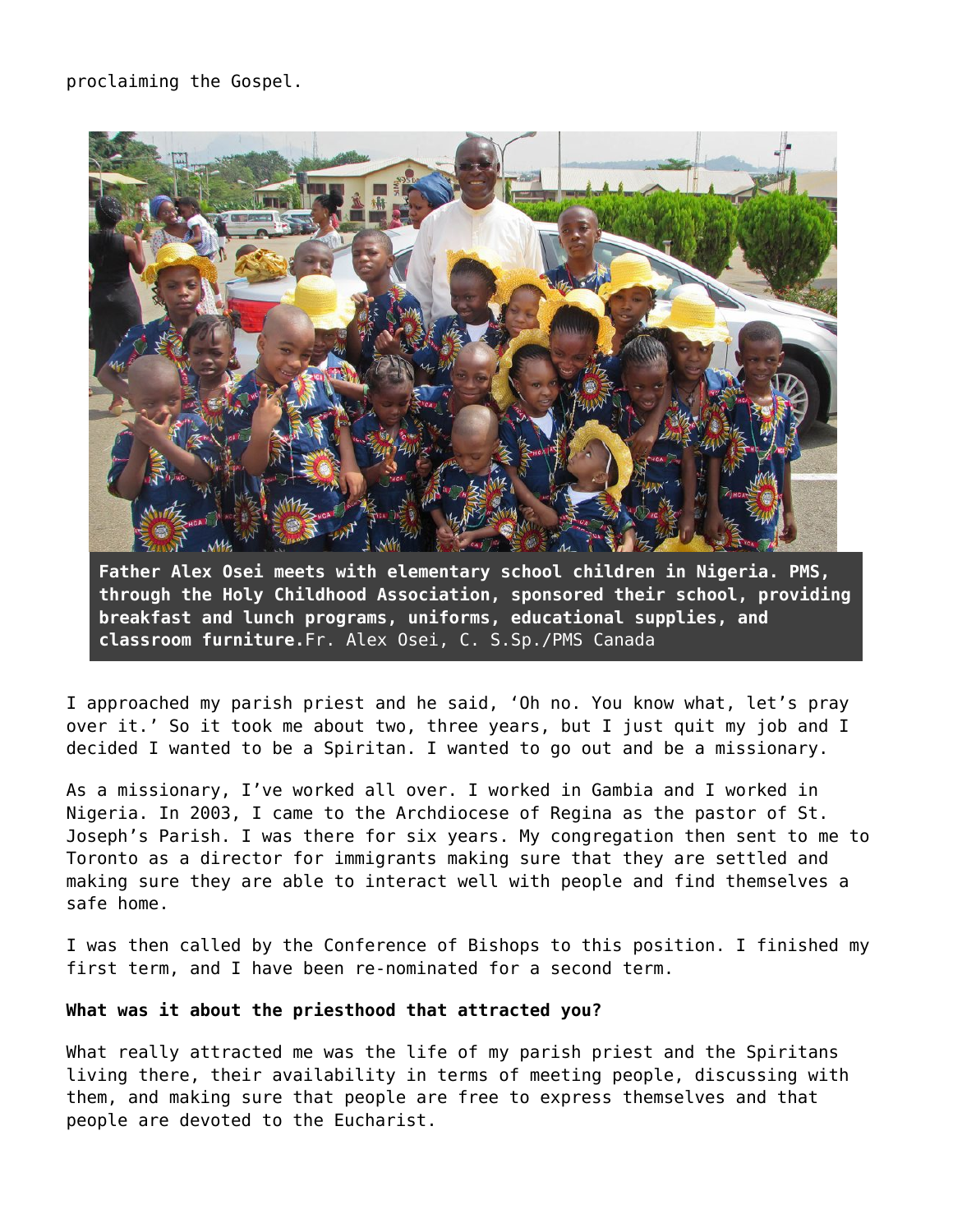

**Father Alex Osei meets with elementary school children in Nigeria. PMS, through the Holy Childhood Association, sponsored their school, providing breakfast and lunch programs, uniforms, educational supplies, and classroom furniture.**Fr. Alex Osei, C. S.Sp./PMS Canada

I approached my parish priest and he said, 'Oh no. You know what, let's pray over it.' So it took me about two, three years, but I just quit my job and I decided I wanted to be a Spiritan. I wanted to go out and be a missionary.

As a missionary, I've worked all over. I worked in Gambia and I worked in Nigeria. In 2003, I came to the Archdiocese of Regina as the pastor of St. Joseph's Parish. I was there for six years. My congregation then sent to me to Toronto as a director for immigrants making sure that they are settled and making sure they are able to interact well with people and find themselves a safe home.

I was then called by the Conference of Bishops to this position. I finished my first term, and I have been re-nominated for a second term.

#### **What was it about the priesthood that attracted you?**

What really attracted me was the life of my parish priest and the Spiritans living there, their availability in terms of meeting people, discussing with them, and making sure that people are free to express themselves and that people are devoted to the Eucharist.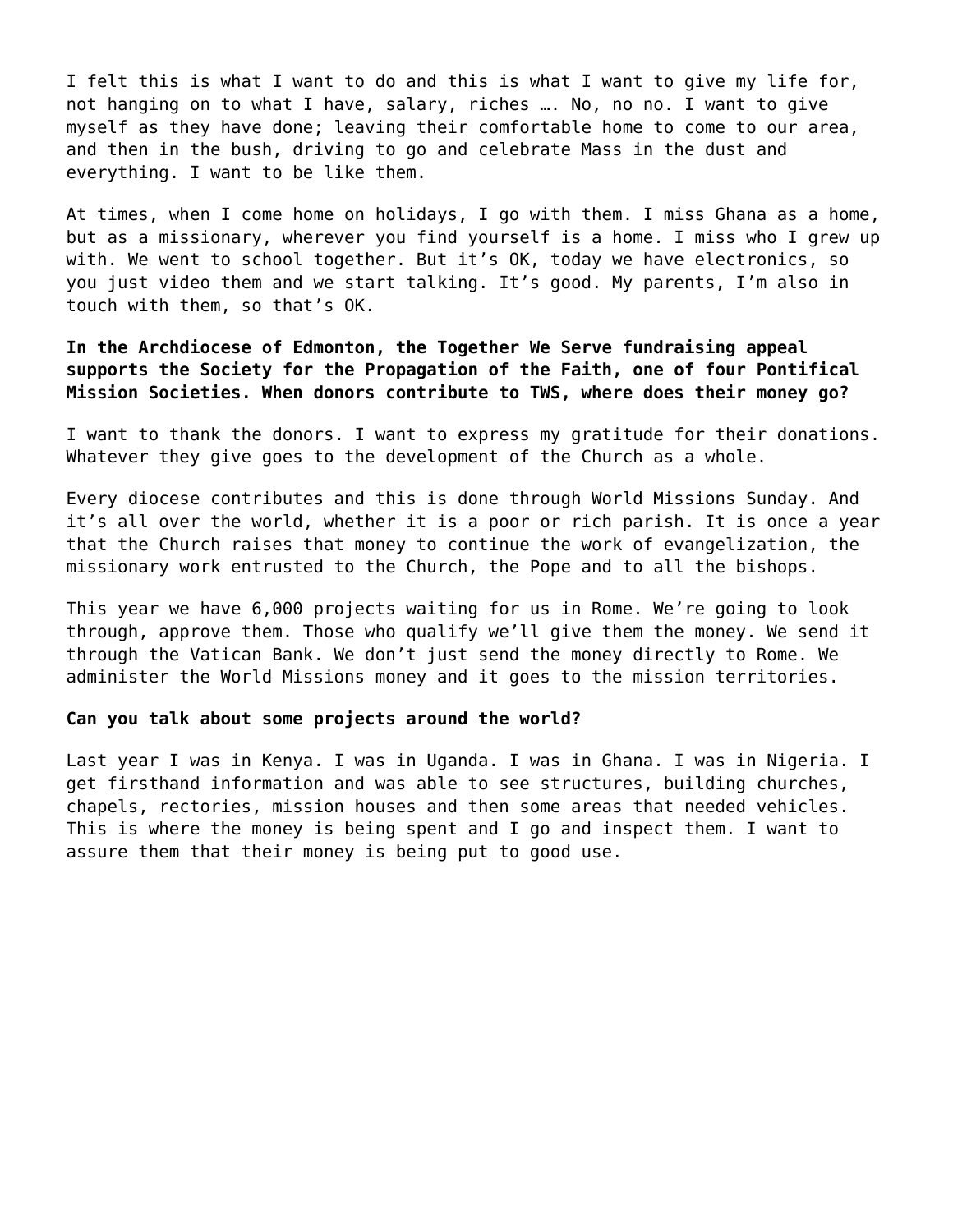I felt this is what I want to do and this is what I want to give my life for, not hanging on to what I have, salary, riches …. No, no no. I want to give myself as they have done; leaving their comfortable home to come to our area, and then in the bush, driving to go and celebrate Mass in the dust and everything. I want to be like them.

At times, when I come home on holidays, I go with them. I miss Ghana as a home, but as a missionary, wherever you find yourself is a home. I miss who I grew up with. We went to school together. But it's OK, today we have electronics, so you just video them and we start talking. It's good. My parents, I'm also in touch with them, so that's OK.

**In the Archdiocese of Edmonton, the Together We Serve fundraising appeal supports the Society for the Propagation of the Faith, one of four Pontifical Mission Societies. When donors contribute to TWS, where does their money go?**

I want to thank the donors. I want to express my gratitude for their donations. Whatever they give goes to the development of the Church as a whole.

Every diocese contributes and this is done through World Missions Sunday. And it's all over the world, whether it is a poor or rich parish. It is once a year that the Church raises that money to continue the work of evangelization, the missionary work entrusted to the Church, the Pope and to all the bishops.

This year we have 6,000 projects waiting for us in Rome. We're going to look through, approve them. Those who qualify we'll give them the money. We send it through the Vatican Bank. We don't just send the money directly to Rome. We administer the World Missions money and it goes to the mission territories.

# **Can you talk about some projects around the world?**

Last year I was in Kenya. I was in Uganda. I was in Ghana. I was in Nigeria. I get firsthand information and was able to see structures, building churches, chapels, rectories, mission houses and then some areas that needed vehicles. This is where the money is being spent and I go and inspect them. I want to assure them that their money is being put to good use.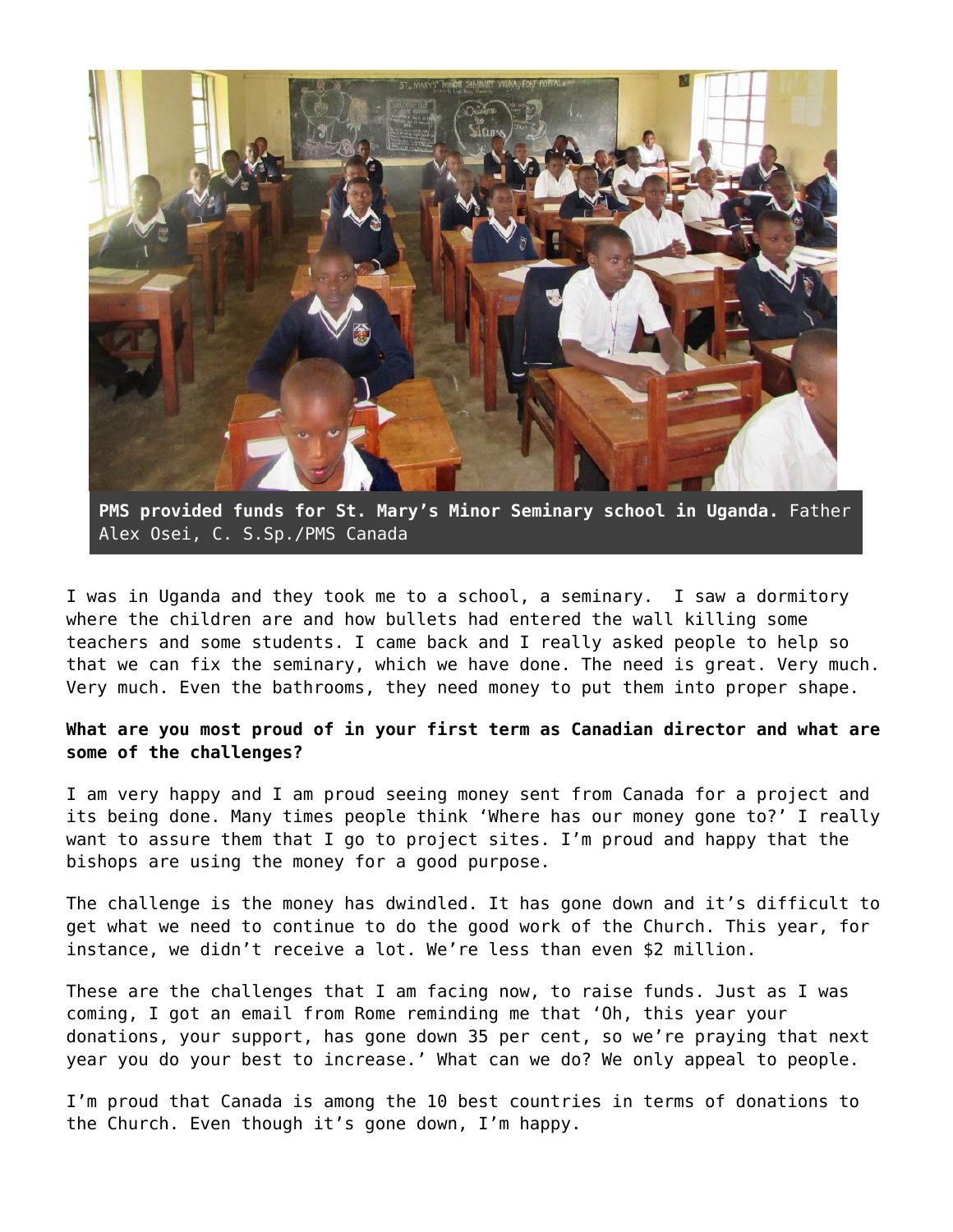

**PMS provided funds for St. Mary's Minor Seminary school in Uganda.** Father Alex Osei, C. S.Sp./PMS Canada

I was in Uganda and they took me to a school, a seminary. I saw a dormitory where the children are and how bullets had entered the wall killing some teachers and some students. I came back and I really asked people to help so that we can fix the seminary, which we have done. The need is great. Very much. Very much. Even the bathrooms, they need money to put them into proper shape.

**What are you most proud of in your first term as Canadian director and what are some of the challenges?**

I am very happy and I am proud seeing money sent from Canada for a project and its being done. Many times people think 'Where has our money gone to?' I really want to assure them that I go to project sites. I'm proud and happy that the bishops are using the money for a good purpose.

The challenge is the money has dwindled. It has gone down and it's difficult to get what we need to continue to do the good work of the Church. This year, for instance, we didn't receive a lot. We're less than even \$2 million.

These are the challenges that I am facing now, to raise funds. Just as I was coming, I got an email from Rome reminding me that 'Oh, this year your donations, your support, has gone down 35 per cent, so we're praying that next year you do your best to increase.' What can we do? We only appeal to people.

I'm proud that Canada is among the 10 best countries in terms of donations to the Church. Even though it's gone down, I'm happy.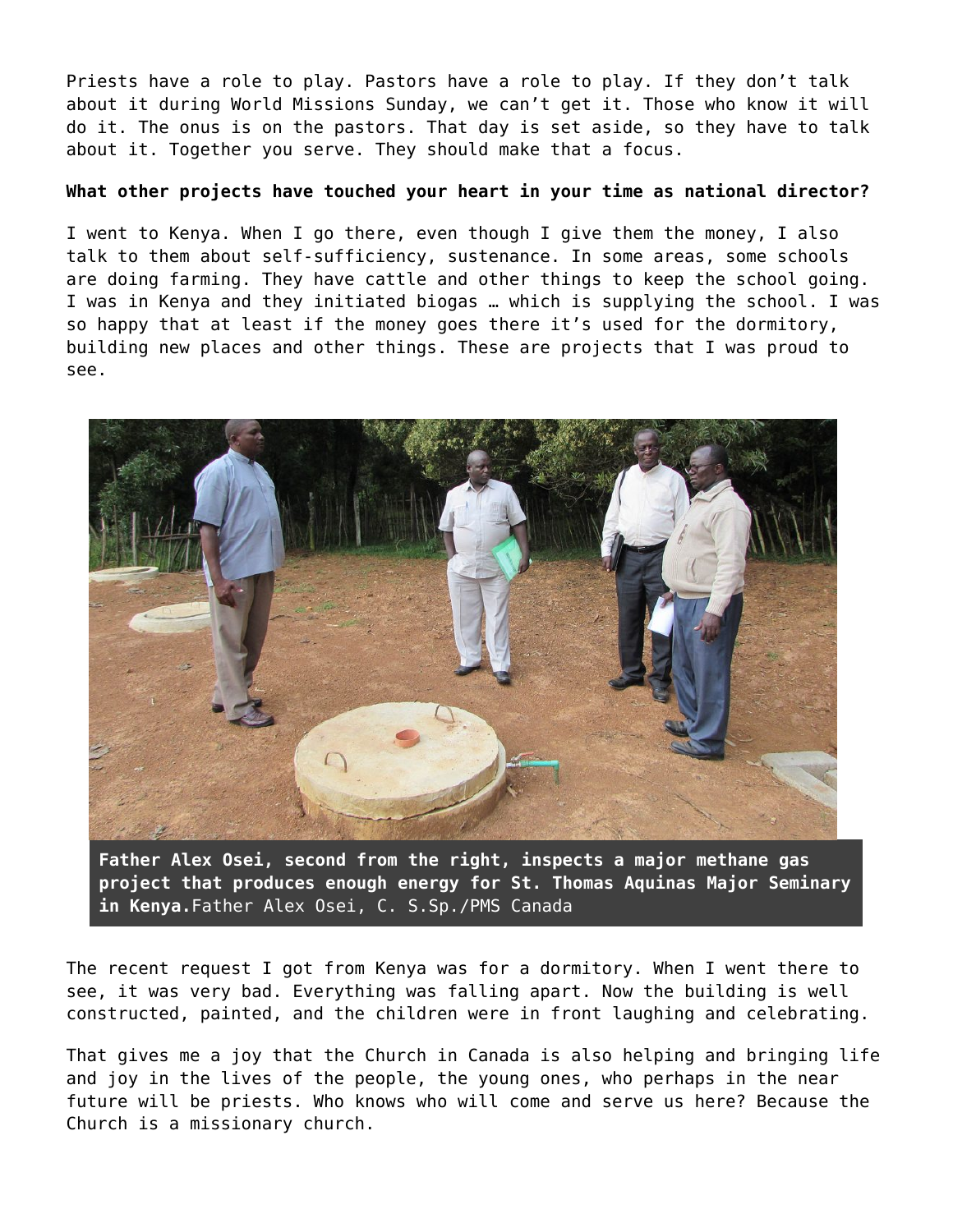Priests have a role to play. Pastors have a role to play. If they don't talk about it during World Missions Sunday, we can't get it. Those who know it will do it. The onus is on the pastors. That day is set aside, so they have to talk about it. Together you serve. They should make that a focus.

### **What other projects have touched your heart in your time as national director?**

I went to Kenya. When I go there, even though I give them the money, I also talk to them about self-sufficiency, sustenance. In some areas, some schools are doing farming. They have cattle and other things to keep the school going. I was in Kenya and they initiated biogas … which is supplying the school. I was so happy that at least if the money goes there it's used for the dormitory, building new places and other things. These are projects that I was proud to see.



**Father Alex Osei, second from the right, inspects a major methane gas project that produces enough energy for St. Thomas Aquinas Major Seminary in Kenya.**Father Alex Osei, C. S.Sp./PMS Canada

The recent request I got from Kenya was for a dormitory. When I went there to see, it was very bad. Everything was falling apart. Now the building is well constructed, painted, and the children were in front laughing and celebrating.

That gives me a joy that the Church in Canada is also helping and bringing life and joy in the lives of the people, the young ones, who perhaps in the near future will be priests. Who knows who will come and serve us here? Because the Church is a missionary church.